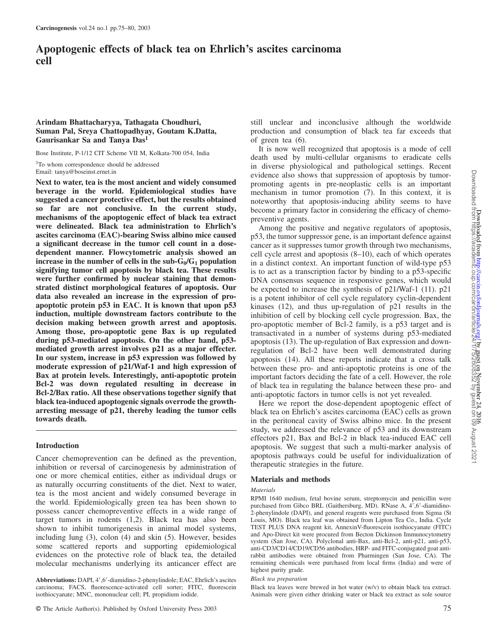# **Apoptogenic effects of black tea on Ehrlich's ascites carcinoma cell**

# **Arindam Bhattacharyya, Tathagata Choudhuri, Suman Pal, Sreya Chattopadhyay, Goutam K.Datta, Gaurisankar Sa and Tanya Das<sup>1</sup>**

Bose Institute, P-1/12 CIT Scheme VII M, Kolkata-700 054, India

<sup>1</sup>To whom correspondence should be addressed Email: tanya@boseinst.ernet.in

**Next to water, tea is the most ancient and widely consumed beverage in the world. Epidemiological studies have suggested a cancer protective effect, but the results obtained so far are not conclusive. In the current study, mechanisms of the apoptogenic effect of black tea extract were delineated. Black tea administration to Ehrlich's ascites carcinoma (EAC)-bearing Swiss albino mice caused a significant decrease in the tumor cell count in a dosedependent manner. Flowcytometric analysis showed an increase in the number of cells in the**  $sub-G<sub>0</sub>/G<sub>1</sub>$  **population signifying tumor cell apoptosis by black tea. These results were further confirmed by nuclear staining that demonstrated distinct morphological features of apoptosis. Our data also revealed an increase in the expression of proapoptotic protein p53 in EAC. It is known that upon p53 induction, multiple downstream factors contribute to the decision making between growth arrest and apoptosis. Among those, pro-apoptotic gene Bax is up regulated during p53-mediated apoptosis. On the other hand, p53 mediated growth arrest involves p21 as a major effecter. In our system, increase in p53 expression was followed by moderate expression of p21/Waf-1 and high expression of Bax at protein levels. Interestingly, anti-apoptotic protein Bcl-2 was down regulated resulting in decrease in Bcl-2/Bax ratio. All these observations together signify that black tea-induced apoptogenic signals overrode the growtharresting message of p21, thereby leading the tumor cells towards death.**

## **Introduction**

Cancer chemoprevention can be defined as the prevention, inhibition or reversal of carcinogenesis by administration of one or more chemical entities, either as individual drugs or as naturally occurring constituents of the diet. Next to water, tea is the most ancient and widely consumed beverage in the world. Epidemiologically green tea has been shown to possess cancer chemopreventive effects in a wide range of target tumors in rodents (1,2). Black tea has also been shown to inhibit tumorigenesis in animal model systems, including lung (3), colon (4) and skin (5). However, besides some scattered reports and supporting epidemiological evidences on the protective role of black tea, the detailed molecular mechanisms underlying its anticancer effect are

Abbreviations: DAPI, 4', 6'-diamidino-2-phenylindole; EAC, Ehrlich's ascites carcinoma; FACS, fluorescence-activated cell sorter; FITC, fluorescein isothiocyanate; MNC, mononuclear cell; PI, propidium iodide.

© The Article Author(s). Published by Oxford University Press 2003 75

still unclear and inconclusive although the worldwide production and consumption of black tea far exceeds that of green tea (6).

It is now well recognized that apoptosis is a mode of cell death used by multi-cellular organisms to eradicate cells in diverse physiological and pathological settings. Recent evidence also shows that suppression of apoptosis by tumorpromoting agents in pre-neoplastic cells is an important mechanism in tumor promotion (7). In this context, it is noteworthy that apoptosis-inducing ability seems to have become a primary factor in considering the efficacy of chemopreventive agents.

Among the positive and negative regulators of apoptosis, p53, the tumor suppressor gene, is an important defence against cancer as it suppresses tumor growth through two mechanisms, cell cycle arrest and apoptosis (8–10), each of which operates in a distinct context. An important function of wild-type p53 is to act as a transcription factor by binding to a p53-specific DNA consensus sequence in responsive genes, which would be expected to increase the synthesis of p21/Waf-1 (11). p21 is a potent inhibitor of cell cycle regulatory cyclin-dependent kinases (12), and thus up-regulation of p21 results in the inhibition of cell by blocking cell cycle progression. Bax, the pro-apoptotic member of Bcl-2 family, is a p53 target and is transactivated in a number of systems during p53-mediated apoptosis (13). The up-regulation of Bax expression and downregulation of Bcl-2 have been well demonstrated during apoptosis (14). All these reports indicate that a cross talk between these pro- and anti-apoptotic proteins is one of the important factors deciding the fate of a cell. However, the role of black tea in regulating the balance between these pro- and anti-apoptotic factors in tumor cells is not yet revealed.

Here we report the dose-dependent apoptogenic effect of black tea on Ehrlich's ascites carcinoma (EAC) cells as grown in the peritoneal cavity of Swiss albino mice. In the present study, we addressed the relevance of p53 and its downstream effectors p21, Bax and Bcl-2 in black tea-induced EAC cell apoptosis. We suggest that such a multi-marker analysis of apoptosis pathways could be useful for individualization of therapeutic strategies in the future.

## **Materials and methods**

#### *Materials*

RPMI 1640 medium, fetal bovine serum, streptomycin and penicillin were purchased from Gibco BRL (Gaithersburg, MD). RNase A, 4',6'-diamidino-2-phenylindole (DAPI), and general reagents were purchased from Sigma (St Louis, MO). Black tea leaf was obtained from Lipton Tea Co., India. Cycle TEST PLUS DNA reagent kit, AnnexinV-fluorescein isothiocyanate (FITC) and Apo-Direct kit were procured from Becton Dickinson Immunocytometry system (San Jose, CA). Polyclonal anti-Bax, anti-Bcl-2, anti-p21, anti-p53, anti-CD3/CD14/CD19/CD56 antibodies, HRP- and FITC-conjugated goat antirabbit antibodies were obtained from Pharmingen (San Jose, CA). The remaining chemicals were purchased from local firms (India) and were of highest purity grade.

#### *Black tea preparation*

Black tea leaves were brewed in hot water (w/v) to obtain black tea extract. Animals were given either drinking water or black tea extract as sole source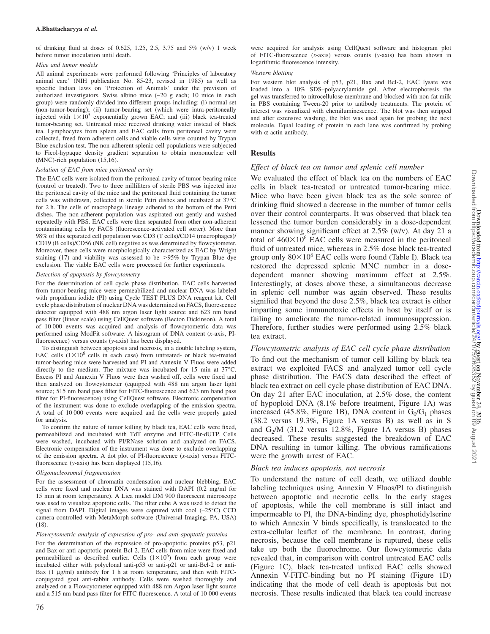of drinking fluid at doses of 0.625, 1.25, 2.5, 3.75 and  $5\%$  (w/v) 1 week before tumor inoculation until death.

#### *Mice and tumor models*

All animal experiments were performed following 'Principles of laboratory animal care' (NIH publication No. 85-23, revised in 1985) as well as specific Indian laws on 'Protection of Animals' under the prevision of authorized investigators. Swiss albino mice  $(\sim 20$  g each; 10 mice in each group) were randomly divided into different groups including: (i) normal set (non-tumor-bearing); (ii) tumor-bearing set (which were intra-peritoneally injected with  $1 \times 10^5$  exponentially grown EAC; and (iii) black tea-treated tumor-bearing set. Untreated mice received drinking water instead of black tea. Lymphocytes from spleen and EAC cells from peritoneal cavity were collected, freed from adherent cells and viable cells were counted by Trypan Blue exclusion test. The non-adherent splenic cell populations were subjected to Ficol-hypaque density gradient separation to obtain mononuclear cell (MNC)-rich population (15,16).

#### *Isolation of EAC from mice peritoneal cavity*

The EAC cells were isolated from the peritoneal cavity of tumor-bearing mice (control or treated). Two to three milliliters of sterile PBS was injected into the peritoneal cavity of the mice and the peritoneal fluid containing the tumor cells was withdrawn, collected in sterile Petri dishes and incubated at 37°C for 2 h. The cells of macrophage lineage adhered to the bottom of the Petri dishes. The non-adherent population was aspirated out gently and washed repeatedly with PBS. EAC cells were then separated from other non-adherent contaminating cells by FACS (fluorescence-activated cell sorter). More than 98% of this separated cell population was CD3 (T cells)/CD14 (macrophages)/ CD19 (B cells)/CD56 (NK cell) negative as was determined by flowcytometer. Moreover, these cells were morphologically characterized as EAC by Wright staining (17) and viability was assessed to be  $>95\%$  by Trypan Blue dye exclusion. The viable EAC cells were processed for further experiments.

#### *Detection of apoptosis by flowcytometry*

For the determination of cell cycle phase distribution, EAC cells harvested from tumor-bearing mice were permeabilized and nuclear DNA was labeled with propidium iodide (PI) using Cycle TEST PLUS DNA reagent kit. Cell cycle phase distribution of nuclear DNA was determined on FACS, fluorescence detector equipped with 488 nm argon laser light source and 623 nm band pass filter (linear scale) using CellQuest software (Becton Dickinson). A total of 10 000 events was acquired and analysis of flowcytometric data was performed using ModFit software. A histogram of DNA content (*x*-axis, PIfluorescence) versus counts (*y*-axis) has been displayed.

To distinguish between apoptosis and necrosis, in a double labeling system, EAC cells  $(1 \times 10^6)$  cells in each case) from untreated- or black tea-treated tumor-bearing mice were harvested and PI and Annexin V Fluos were added directly to the medium. The mixture was incubated for 15 min at 37°C. Excess PI and Annexin V Fluos were then washed off, cells were fixed and then analyzed on flowcytometer (equipped with 488 nm argon laser light source; 515 nm band pass filter for FITC-fluorescence and 623 nm band pass filter for PI-fluorescence) using CellQuest software. Electronic compensation of the instrument was done to exclude overlapping of the emission spectra. A total of 10 000 events were acquired and the cells were properly gated for analysis.

To confirm the nature of tumor killing by black tea, EAC cells were fixed, permeabilized and incubated with TdT enzyme and FITC-Br-dUTP. Cells were washed, incubated with PI/RNase solution and analyzed on FACS. Electronic compensation of the instrument was done to exclude overlapping of the emission spectra. A dot plot of PI-fluorescence (*x*-axis) versus FITCfluorescence (*y*-axis) has been displayed (15,16).

#### *Oligonucleosomal fragmentation*

For the assessment of chromatin condensation and nuclear blebbing, EAC cells were fixed and nuclear DNA was stained with DAPI (0.2 mg/ml for 15 min at room temperature). A Lica model DM 900 fluorescent microscope was used to visualize apoptotic cells. The filter cube A was used to detect the signal from DAPI. Digital images were captured with cool (–25°C) CCD camera controlled with MetaMorph software (Universal Imaging, PA, USA) (18).

## *Flowcytometric analysis of expression of pro- and anti-apoptotic proteins*

For the determination of the expression of pro-apoptotic proteins p53, p21 and Bax or anti-apoptotic protein Bcl-2, EAC cells from mice were fixed and permeabilized as described earlier. Cells  $(1 \times 10^6)$  from each group were incubated either with polyclonal anti-p53 or anti-p21 or anti-Bcl-2 or anti-Bax  $(1 \mu g/ml)$  antibody for 1 h at room temperature, and then with FITCconjugated goat anti-rabbit antibody. Cells were washed thoroughly and analyzed on a Flowcytometer equipped with 488 nm Argon laser light source and a 515 nm band pass filter for FITC-fluorescence. A total of 10 000 events

#### *Western blotting*

For western blot analysis of p53, p21, Bax and Bcl-2, EAC lysate was loaded into a 10% SDS–polyacrylamide gel. After electrophoresis the gel was transferred to nitrocellulose membrane and blocked with non-fat milk in PBS containing Tween-20 prior to antibody treatments. The protein of interest was visualized with chemiluminescence. The blot was then stripped and after extensive washing, the blot was used again for probing the next molecule. Equal loading of protein in each lane was confirmed by probing with α-actin antibody.

# **Results**

## *Effect of black tea on tumor and splenic cell number*

We evaluated the effect of black tea on the numbers of EAC cells in black tea-treated or untreated tumor-bearing mice. Mice who have been given black tea as the sole source of drinking fluid showed a decrease in the number of tumor cells over their control counterparts. It was observed that black tea lessened the tumor burden considerably in a dose-dependent manner showing significant effect at 2.5% (w/v). At day 21 a total of  $460\times10^6$  EAC cells were measured in the peritoneal fluid of untreated mice, whereas in 2.5% dose black tea-treated group only  $80\times10^6$  EAC cells were found (Table I). Black tea restored the depressed splenic MNC number in a dosedependent manner showing maximum effect at 2.5%. Interestingly, at doses above these, a simultaneous decrease in splenic cell number was again observed. These results signified that beyond the dose 2.5%, black tea extract is either imparting some immunotoxic effects in host by itself or is failing to ameliorate the tumor-related immunosuppression. Therefore, further studies were performed using 2.5% black tea extract.

## *Flowcytometric analysis of EAC cell cycle phase distribution*

To find out the mechanism of tumor cell killing by black tea extract we exploited FACS and analyzed tumor cell cycle phase distribution. The FACS data described the effect of black tea extract on cell cycle phase distribution of EAC DNA. On day 21 after EAC inoculation, at 2.5% dose, the content of hypoploid DNA (8.1% before treatment, Figure 1A) was increased (45.8%, Figure 1B), DNA content in  $G_0/G_1$  phases (38.2 versus 19.3%, Figure 1A versus B) as well as in S and G<sup>2</sup> /M (31.2 versus 12.8%, Figure 1A versus B) phases decreased. These results suggested the breakdown of EAC DNA resulting in tumor killing. The obvious ramifications were the growth arrest of EAC.

## *Black tea induces apoptosis, not necrosis*

To understand the nature of cell death, we utilized double labeling techniques using Annexin V Fluos/PI to distinguish between apoptotic and necrotic cells. In the early stages of apoptosis, while the cell membrane is still intact and impermeable to PI, the DNA-binding dye, phosphotidylserine to which Annexin V binds specifically, is translocated to the extra-cellular leaflet of the membrane. In contrast, during necrosis, because the cell membrane is ruptured, these cells take up both the fluorochrome. Our flowcytometric data revealed that, in comparison with control untreated EAC cells (Figure 1C), black tea-treated unfixed EAC cells showed Annexin V-FITC-binding but no PI staining (Figure 1D) indicating that the mode of cell death is apoptosis but not necrosis. These results indicated that black tea could increase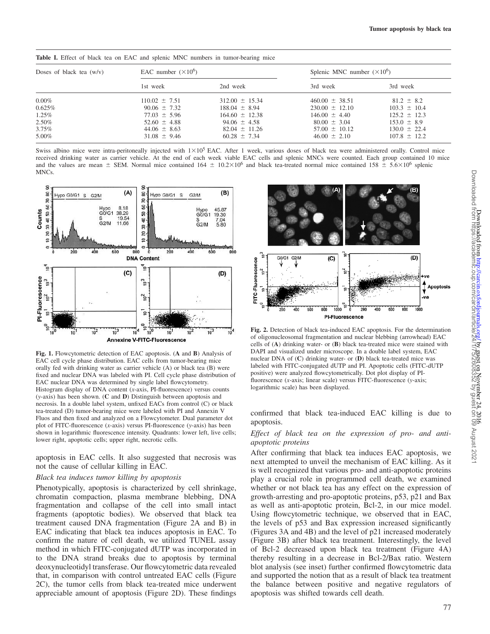|  |  |  |  |  |  | Table I. Effect of black tea on EAC and splenic MNC numbers in tumor-bearing mice |  |
|--|--|--|--|--|--|-----------------------------------------------------------------------------------|--|
|  |  |  |  |  |  |                                                                                   |  |

| Doses of black tea $(w/v)$ | EAC number $(\times 10^6)$ |                    | Splenic MNC number $(\times 10^6)$ |                  |  |  |
|----------------------------|----------------------------|--------------------|------------------------------------|------------------|--|--|
|                            | 1st week                   | 2nd week           | 3rd week                           | 3rd week         |  |  |
| $0.00\%$                   | $110.02 \pm 7.51$          | $312.00 \pm 15.34$ | $460.00 \pm 38.51$                 | $81.2 \pm 8.2$   |  |  |
| $0.625\%$                  | $90.06 \pm 7.32$           | $188.04 \pm 8.94$  | $230.00 \pm 12.10$                 | $103.3 \pm 10.4$ |  |  |
| $1.25\%$                   | $77.03 \pm 5.96$           | $164.60 \pm 12.38$ | $146.00 \pm 4.40$                  | $125.2 \pm 12.3$ |  |  |
| 2.50%                      | $52.60 \pm 4.88$           | $94.06 \pm 4.58$   | $80.00 \pm 3.04$                   | $153.0 \pm 8.9$  |  |  |
| $3.75\%$                   | $44.06 \pm 8.63$           | $82.04 \pm 11.26$  | $57.00 \pm 10.12$                  | $130.0 \pm 22.4$ |  |  |
| 5.00%                      | $31.08 \pm 9.46$           | $60.28 \pm 7.34$   | $46.00 \pm 2.10$                   | $107.8 \pm 12.2$ |  |  |

Swiss albino mice were intra-peritoneally injected with  $1\times10^5$  EAC. After 1 week, various doses of black tea were administered orally. Control mice received drinking water as carrier vehicle. At the end of each week viable EAC cells and splenic MNCs were counted. Each group contained 10 mice and the values are mean  $\pm$  SEM. Normal mice contained 164  $\pm$  10.2×10<sup>6</sup> and black tea-treated normal mice contained 158  $\pm$  5.6×10<sup>6</sup> splenic MNCs.



**Fig. 1.** Flowcytometric detection of EAC apoptosis. (**A** and **B**) Analysis of EAC cell cycle phase distribution. EAC cells from tumor-bearing mice orally fed with drinking water as carrier vehicle (A) or black tea (B) were fixed and nuclear DNA was labeled with PI. Cell cycle phase distribution of EAC nuclear DNA was determined by single label flowcytometry. Histogram display of DNA content (*x*-axis, PI-fluorescence) versus counts (*y*-axis) has been shown. (**C** and **D**) Distinguish between apoptosis and necrosis. In a double label system, unfixed EACs from control (C) or black tea-treated (D) tumor-bearing mice were labeled with PI and Annexin V Fluos and then fixed and analyzed on a Flowcytometer. Dual parameter dot plot of FITC-fluorescence (*x*-axis) versus PI-fluorescence (*y*-axis) has been shown in logarithmic fluorescence intensity. Quadrants: lower left, live cells; lower right, apoptotic cells; upper right, necrotic cells.

apoptosis in EAC cells. It also suggested that necrosis was not the cause of cellular killing in EAC.

## *Black tea induces tumor killing by apoptosis*

Phenotypically, apoptosis is characterized by cell shrinkage, chromatin compaction, plasma membrane blebbing, DNA fragmentation and collapse of the cell into small intact fragments (apoptotic bodies). We observed that black tea treatment caused DNA fragmentation (Figure 2A and B) in EAC indicating that black tea induces apoptosis in EAC. To confirm the nature of cell death, we utilized TUNEL assay method in which FITC-conjugated dUTP was incorporated in to the DNA strand breaks due to apoptosis by terminal deoxynucleotidyl transferase. Our flowcytometric data revealed that, in comparison with control untreated EAC cells (Figure 2C), the tumor cells from black tea-treated mice underwent appreciable amount of apoptosis (Figure 2D). These findings



**Fig. 2.** Detection of black tea-induced EAC apoptosis. For the determination of oligonucleosomal fragmentation and nuclear blebbing (arrowhead) EAC cells of (**A**) drinking water- or (**B**) black tea-treated mice were stained with DAPI and visualized under microscope. In a double label system, EAC nuclear DNA of (**C**) drinking water- or (**D**) black tea-treated mice was labeled with FITC-conjugated dUTP and PI. Apoptotic cells (FITC-dUTP positive) were analyzed flowcytometrically. Dot plot display of PIfluorescence (*x*-axis; linear scale) versus FITC-fluorescence (*y*-axis; logarithmic scale) has been displayed.

confirmed that black tea-induced EAC killing is due to apoptosis.

# *Effect of black tea on the expression of pro- and antiapoptotic proteins*

After confirming that black tea induces EAC apoptosis, we next attempted to unveil the mechanism of EAC killing. As it is well recognized that various pro- and anti-apoptotic proteins play a crucial role in programmed cell death, we examined whether or not black tea has any effect on the expression of growth-arresting and pro-apoptotic proteins, p53, p21 and Bax as well as anti-apoptotic protein, Bcl-2, in our mice model. Using flowcytometric technique, we observed that in EAC, the levels of p53 and Bax expression increased significantly (Figures 3A and 4B) and the level of p21 increased moderately (Figure 3B) after black tea treatment. Interestingly, the level of Bcl-2 decreased upon black tea treatment (Figure 4A) thereby resulting in a decrease in Bcl-2/Bax ratio. Western blot analysis (see inset) further confirmed flowcytometric data and supported the notion that as a result of black tea treatment the balance between positive and negative regulators of apoptosis was shifted towards cell death.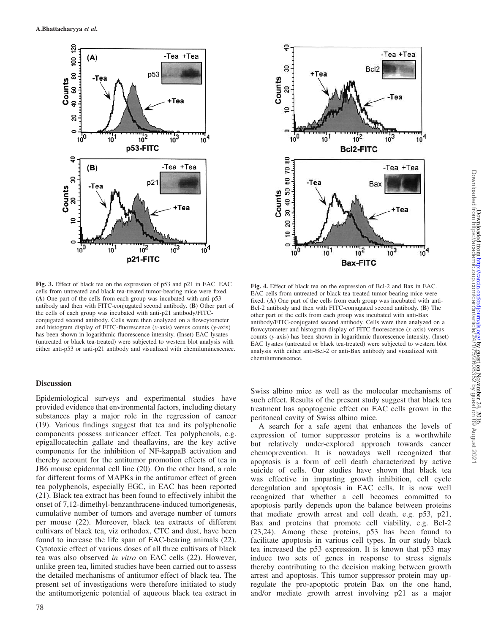

**Fig. 3.** Effect of black tea on the expression of p53 and p21 in EAC. EAC cells from untreated and black tea-treated tumor-bearing mice were fixed. (**A**) One part of the cells from each group was incubated with anti-p53 antibody and then with FITC-conjugated second antibody. (**B**) Other part of the cells of each group was incubated with anti-p21 antibody/FITCconjugated second antibody. Cells were then analyzed on a flowcytometer and histogram display of FITC-fluorescence (*x*-axis) versus counts (*y*-axis) has been shown in logarithmic fluorescence intensity. (Inset) EAC lysates (untreated or black tea-treated) were subjected to western blot analysis with either anti-p53 or anti-p21 antibody and visualized with chemiluminescence.

## **Discussion**

Epidemiological surveys and experimental studies have provided evidence that environmental factors, including dietary substances play a major role in the regression of cancer (19). Various findings suggest that tea and its polyphenolic components possess anticancer effect. Tea polyphenols, e.g. epigallocatechin gallate and theaflavins, are the key active components for the inhibition of NF-kappaB activation and thereby account for the antitumor promotion effects of tea in JB6 mouse epidermal cell line (20). On the other hand, a role for different forms of MAPKs in the antitumor effect of green tea polyphenols, especially EGC, in EAC has been reported (21). Black tea extract has been found to effectively inhibit the onset of 7,12-dimethyl-benzanthracene-induced tumorigenesis, cumulative number of tumors and average number of tumors per mouse (22). Moreover, black tea extracts of different cultivars of black tea, viz orthodox, CTC and dust, have been found to increase the life span of EAC-bearing animals (22). Cytotoxic effect of various doses of all three cultivars of black tea was also observed *in vitro* on EAC cells (22). However, unlike green tea, limited studies have been carried out to assess the detailed mechanisms of antitumor effect of black tea. The present set of investigations were therefore initiated to study the antitumorigenic potential of aqueous black tea extract in



**Fig. 4.** Effect of black tea on the expression of Bcl-2 and Bax in EAC. EAC cells from untreated or black tea-treated tumor-bearing mice were fixed. (**A**) One part of the cells from each group was incubated with anti-Bcl-2 antibody and then with FITC-conjugated second antibody. (**B**) The other part of the cells from each group was incubated with anti-Bax antibody/FITC-conjugated second antibody. Cells were then analyzed on a flowcytometer and histogram display of FITC-fluorescence (*x*-axis) versus counts (*y*-axis) has been shown in logarithmic fluorescence intensity. (Inset) EAC lysates (untreated or black tea-treated) were subjected to western blot analysis with either anti-Bcl-2 or anti-Bax antibody and visualized with chemiluminescence.

Swiss albino mice as well as the molecular mechanisms of such effect. Results of the present study suggest that black tea treatment has apoptogenic effect on EAC cells grown in the peritoneal cavity of Swiss albino mice.

A search for a safe agent that enhances the levels of expression of tumor suppressor proteins is a worthwhile but relatively under-explored approach towards cancer chemoprevention. It is nowadays well recognized that apoptosis is a form of cell death characterized by active suicide of cells. Our studies have shown that black tea was effective in imparting growth inhibition, cell cycle deregulation and apoptosis in EAC cells. It is now well recognized that whether a cell becomes committed to apoptosis partly depends upon the balance between proteins that mediate growth arrest and cell death, e.g. p53, p21, Bax and proteins that promote cell viability, e.g. Bcl-2 (23,24). Among these proteins, p53 has been found to facilitate apoptosis in various cell types. In our study black tea increased the p53 expression. It is known that p53 may induce two sets of genes in response to stress signals thereby contributing to the decision making between growth arrest and apoptosis. This tumor suppressor protein may upregulate the pro-apoptotic protein Bax on the one hand, and/or mediate growth arrest involving p21 as a major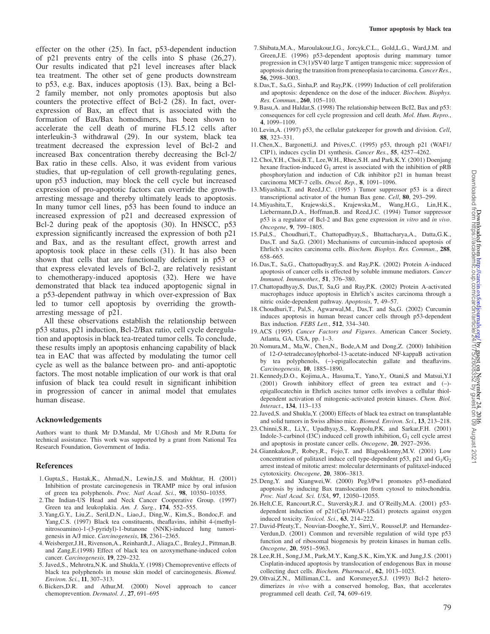effecter on the other (25). In fact, p53-dependent induction of p21 prevents entry of the cells into S phase (26,27). Our results indicated that p21 level increases after black tea treatment. The other set of gene products downstream to p53, e.g. Bax, induces apoptosis (13). Bax, being a Bcl-2 family member, not only promotes apoptosis but also counters the protective effect of Bcl-2 (28). In fact, overexpression of Bax, an effect that is associated with the formation of Bax/Bax homodimers, has been shown to accelerate the cell death of murine FL5.12 cells after interleukin-3 withdrawal (29). In our system, black tea treatment decreased the expression level of Bcl-2 and increased Bax concentration thereby decreasing the Bcl-2/ Bax ratio in these cells. Also, it was evident from various studies, that up-regulation of cell growth-regulating genes, upon p53 induction, may block the cell cycle but increased expression of pro-apoptotic factors can override the growtharresting message and thereby ultimately leads to apoptosis. In many tumor cell lines, p53 has been found to induce an increased expression of p21 and decreased expression of Bcl-2 during peak of the apoptosis (30). In HNSCC, p53 expression significantly increased the expression of both p21 and Bax, and as the resultant effect, growth arrest and apoptosis took place in these cells (31). It has also been shown that cells that are functionally deficient in p53 or that express elevated levels of Bcl-2, are relatively resistant to chemotherapy-induced apoptosis (32). Here we have demonstrated that black tea induced apoptogenic signal in a p53-dependent pathway in which over-expression of Bax led to tumor cell apoptosis by overriding the growtharresting message of p21.

All these observations establish the relationship between p53 status, p21 induction, Bcl-2/Bax ratio, cell cycle deregulation and apoptosis in black tea-treated tumor cells. To conclude, these results imply an apoptosis enhancing capability of black tea in EAC that was affected by modulating the tumor cell cycle as well as the balance between pro- and anti-apoptotic factors. The most notable implication of our work is that oral infusion of black tea could result in significant inhibition in progression of cancer in animal model that emulates human disease.

## **Acknowledgements**

Authors want to thank Mr D.Mandal, Mr U.Ghosh and Mr R.Dutta for technical assistance. This work was supported by a grant from National Tea Research Foundation, Government of India.

#### **References**

- 1. Gupta,S., Hastak,K., Ahmad,N., Lewin,J.S. and Mukhtar, H. (2001) Inhibition of prostate carcinogenesis in TRAMP mice by oral infusion of green tea polyphenols. *Proc. Natl Acad. Sci.*, **98**, 10350–10355.
- 2. The Indian-US Head and Neck Cancer Cooperative Group. (1997) Green tea and leukoplakia. *Am. J. Surg.*, **174**, 552–555.
- 3. Yang,G.Y., Liu,Z., Seril,D.N., Liao,J., Ding,W., Kim,S., Bondoc,F. and Yang,C.S. (1997) Black tea constituents, theaflavins, inhibit 4-(methylnitrosoamino)-1-(3-pyridyl)-1-butanone (NNK)-induced lung tumorigenesis in A/J mice. *Carcinogenesis*, **18**, 2361–2365.
- 4.Weisberger,J.H., Rivenson,A., Reinhardt,J., Aliaga,C., Braley,J., Pittman,B. and Zang,E.(1998) Effect of black tea on azoxymethane-induced colon cancer. *Carcinogenesis,* **19**, 229–232.
- 5. Javed,S., Mehrotra,N.K. and Shukla,Y. (1998) Chemopreventive effects of black tea polyphenols in mouse skin model of carcinogenesis. *Biomed. Environ. Sci.*, **11**, 307–313.
- 6.Bickers,D.R. and Athur,M. (2000) Novel approach to cancer chemoprevention. *Dermatol. J.*, **27**, 691–695
- 7. Shibata,M.A., Maroulakour,I.G., Jorcyk,C.L., Gold,L.G., Ward,J.M. and Green,J.E. (1996) p53-dependent apoptosis during mammary tumor progression in C3(1)/SV40 large T antigen transgenic mice: suppression of apoptosis during the transition from preneoplasia to carcinoma. *Cancer Res.*, **56**, 2998–3003.
- 8. Das,T., Sa,G., Sinha,P. and Ray,P.K. (1999) Induction of cell proliferation and apoptosis: dependence on the dose of the inducer. *Biochem. Biophys. Res. Commun.*, **260**, 105–110.
- 9.Basu,A. and Haldar,S. (1998) The relationship between BcI2, Bax and p53: consequences for cell cycle progression and cell death. *Mol. Hum. Repro.*, **4**, 1099–1109.
- 10. Levin,A. (1997) p53, the cellular gatekeeper for growth and division. *Cell*, **88**, 323–331.
- 11.Chen,X., Bargonetti,J. and Prives,C. (1995) p53, through p21 (WAF1/ CIP1), induces cyclin D1 synthesis. *Cancer Res.*, **55**, 4257–4262.
- 12.Choi,Y.H., Choi,B.T., Lee,W.H., Rhee,S.H. and Park,K.Y. (2001) Doenjang hexane fraction-induced  $G_1$  arrest is associated with the inhibition of pRB phosphorylation and induction of Cdk inhibitor p21 in human breast carcinoma MCF-7 cells. *Oncol. Rep.*, **8**, 1091–1096.
- 13.Miyashita,T. and Reed,J.C. (1995 ) Tumor suppressor p53 is a direct transcriptional activator of the human Bax gene. *Cell*, **80**, 293–299.
- 14.Miyashita,T., Krajewski,S., Krajewska,M., Wang,H.G., Lin,H.K., Liebermann,D.A., Hoffman,B. and Reed,J.C. (1994) Tumor suppressor p53 is a regulator of Bcl-2 and Bax gene expression *in vitro* and *in vivo*. *Oncogene*, **9**, 799–1805.
- 15. Pal,S., Choudhuri,T., Chattopadhyay,S., Bhattacharya,A., Datta,G.K., Das,T. and Sa,G. (2001) Mechanisms of curcumin-induced apoptosis of Ehrlich's ascites carcinoma cells. *Biochem. Biophys. Res. Commun.*, **288**, 658–665.
- 16. Das,T., Sa,G., Chattopadhyay,S. and Ray,P.K. (2002) Protein A-induced apoptosis of cancer cells is effected by soluble immune mediators. *Cancer Immunol. Immunother.*, **51**, 376–380.
- 17.Chattopadhyay,S, Das,T, Sa,G and Ray,P.K. (2002) Protein A-activated macrophages induce apoptosis in Ehrlich's ascites carcinoma through a nitric oxide-dependent pathway. *Apoptosis*, **7**, 49–57.
- 18.Choudhuri,T., Pal,S., Agwarwal,M., Das,T. and Sa,G. (2002) Curcumin induces apoptosis in human breast cancer cells through p53-dependent Bax induction. *FEBS Lett.*, **512**, 334–340.
- 19. ACS (1995) *Cancer Factors and Figures*. American Cancer Society, Atlanta, GA, USA, pp. 1–3.
- 20. Nomura,M., Ma,W., Chen,N., Bode,A.M and Dong,Z. (2000) Inhibition of 12-*O*-tetradecanoylphorbol-13-acetate-induced NF-kappaB activation by tea polyphenols, (–)-epigallocatechin gallate and theaflavins. *Carcinogenesis*, **10**, 1885–1890.
- 21. Kennedy,D.O., Kojima,A., Hasuma,T., Yano,Y., Otani,S and Matsui,Y.I (2001) Growth inhibitory effect of green tea extract and (–) epigallocatechin in Ehrlich ascites tumor cells involves a cellular thioldependent activation of mitogenic-activated protein kinases. *Chem. Biol. Interact*., **134**, 113–133
- 22. Javed,S. and Shukla,Y. (2000) Effects of black tea extract on transplantable and solid tumors in Swiss albino mice. *Biomed. Environ. Sci*., **13**, 213–218.
- 23.Chinni,S.R., Li,Y., Upadhyay,S., Koppolu,P.K. and Sarkar,F.H. (2001) Indole-3-carbinol (I3C) induced cell growth inhibition,  $G_1$  cell cycle arrest and apoptosis in prostate cancer cells. *Oncogene*, **20**, 2927–2936.
- 24. Giannkakou,P., Robey,R., Fojo,T. and Blagosklonny,M.V. (2001) Low concentration of palitaxel induce cell type-dependent p53, p21 and  $G_1/G_2$ arrest instead of mitotic arrest: molecular determinants of palitaxel-induced cytotoxicity. *Oncogene*, **20**, 3806–3813.
- 25. Deng,Y. and Xiangwei,W. (2000) Peg3/Pw1 promotes p53-mediated apoptosis by inducing Bax translocation from cytosol to mitochondria. *Proc. Natl Acad. Sci. USA*, **97**, 12050–12055.
- 26. Helt,C.E, Rancourt,R.C., Staversky,R.J. and O'Reilly,M.A. (2001) p53 dependent induction of p21(Cip1/WAF-1/Sdi1) protects against oxygen induced toxicity. *Toxicol. Sci.*, **63**, 214–222.
- 27. David-Pfeuty,T., Nouvian-Dooghe,Y., Sirri,V., Roussel,P. and Hernandez-Verdun,D. (2001) Common and reversible regulation of wild type p53 function and of ribosomal biogenesis by protein kinases in human cells. *Oncogene*, **20**, 5951–5963.
- 28. Lee,R.H., Song,J.M., Park,M.Y., Kang,S.K., Kim,Y.K. and Jung,J.S. (2001) Cisplatin-induced apoptosis by translocation of endogenous Bax in mouse collecting duct cells. *Biochem. Pharmacol.*, **62**, 1013–1023.
- 29. Oltvai,Z.N., Milliman,C.L. and Korsmeyer,S.J. (1993) Bcl-2 heterodimerizes *in vivo* with a conserved homolog, Bax, that accelerates programmed cell death. *Cell*, **74**, 609–619.